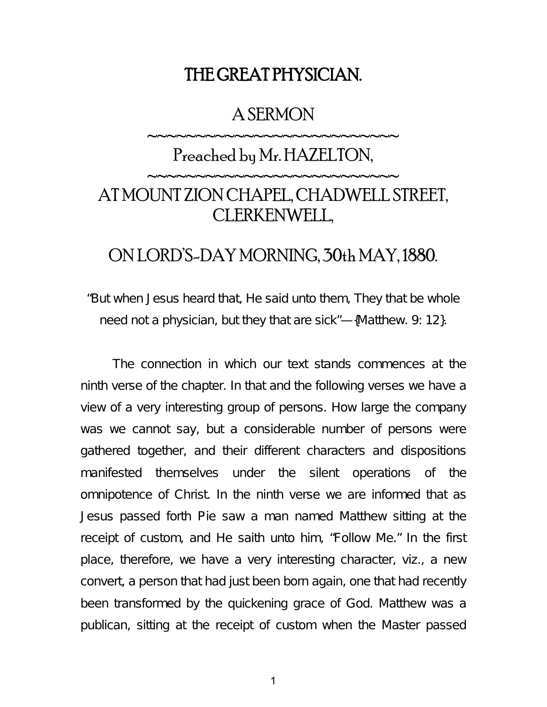## THE GREAT PHYSICIAN.

### A SERMON

~~~~~~~~~~~~~~~~~~~~~~~~~

# Preached by Mr. HAZELTON, ~~~~~~~~~~~~~~~~~~~~~~~~~ AT MOUNT ZION CHAPEL, CHADWELL STREET, CLERKENWELL,

### ON LORD'S-DAY MORNING, 30th MAY, 1880.

"But when Jesus heard that, He said unto them, They that be whole need not a physician, but they that are sick"—{Matthew. 9: 12}.

The connection in which our text stands commences at the ninth verse of the chapter. In that and the following verses we have a view of a very interesting group of persons. How large the company was we cannot say, but a considerable number of persons were gathered together, and their different characters and dispositions manifested themselves under the silent operations of the omnipotence of Christ. In the ninth verse we are informed that as Jesus passed forth Pie saw a man named Matthew sitting at the receipt of custom, and He saith unto him, "Follow Me." In the first place, therefore, we have a very interesting character, viz., a new convert, a person that had just been born again, one that had recently been transformed by the quickening grace of God. Matthew was a publican, sitting at the receipt of custom when the Master passed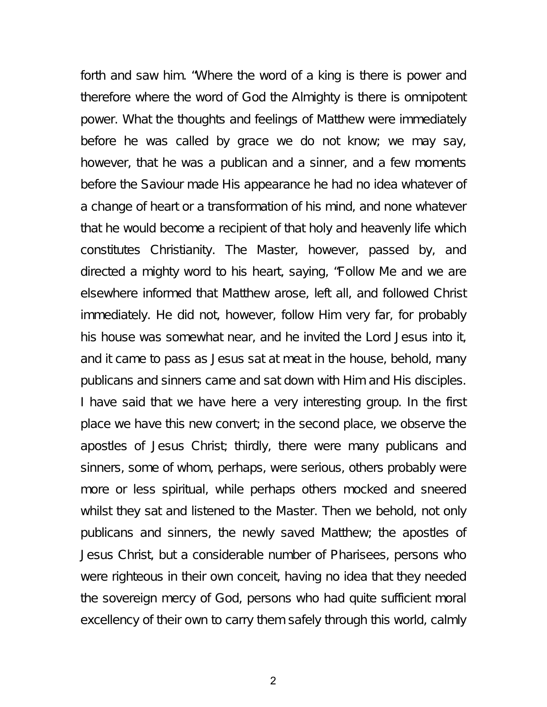forth and saw him. "Where the word of a king is there is power and therefore where the word of God the Almighty is there is omnipotent power. What the thoughts and feelings of Matthew were immediately before he was called by grace we do not know; we may say, however, that he was a publican and a sinner, and a few moments before the Saviour made His appearance he had no idea whatever of a change of heart or a transformation of his mind, and none whatever that he would become a recipient of that holy and heavenly life which constitutes Christianity. The Master, however, passed by, and directed a mighty word to his heart, saying, "Follow Me and we are elsewhere informed that Matthew arose, left all, and followed Christ immediately. He did not, however, follow Him very far, for probably his house was somewhat near, and he invited the Lord Jesus into it, and it came to pass as Jesus sat at meat in the house, behold, many publicans and sinners came and sat down with Him and His disciples. I have said that we have here a very interesting group. In the first place we have this new convert; in the second place, we observe the apostles of Jesus Christ; thirdly, there were many publicans and sinners, some of whom, perhaps, were serious, others probably were more or less spiritual, while perhaps others mocked and sneered whilst they sat and listened to the Master. Then we behold, not only publicans and sinners, the newly saved Matthew; the apostles of Jesus Christ, but a considerable number of Pharisees, persons who were righteous in their own conceit, having no idea that they needed the sovereign mercy of God, persons who had quite sufficient moral excellency of their own to carry them safely through this world, calmly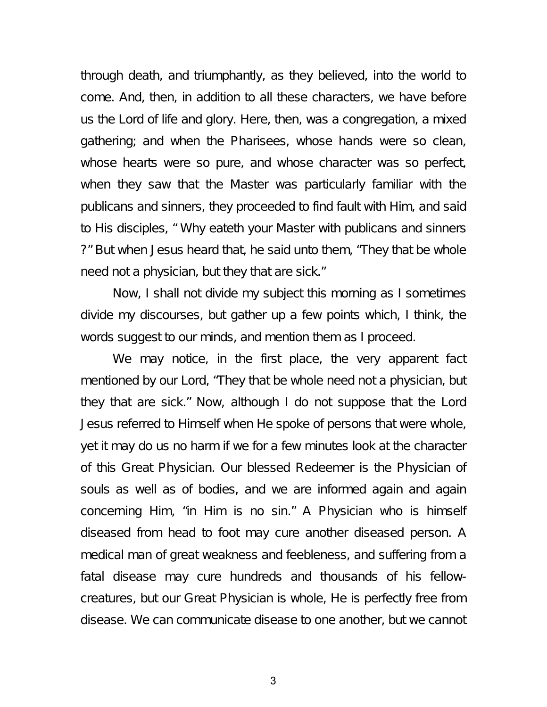through death, and triumphantly, as they believed, into the world to come. And, then, in addition to all these characters, we have before us the Lord of life and glory. Here, then, was a congregation, a mixed gathering; and when the Pharisees, whose hands were so clean, whose hearts were so pure, and whose character was so perfect, when they saw that the Master was particularly familiar with the publicans and sinners, they proceeded to find fault with Him, and said to His disciples, " Why eateth your Master with publicans and sinners ?" But when Jesus heard that, he said unto them, "They that be whole need not a physician, but they that are sick."

Now, I shall not divide my subject this morning as I sometimes divide my discourses, but gather up a few points which, I think, the words suggest to our minds, and mention them as I proceed.

We may notice, in the first place, the very apparent fact mentioned by our Lord, "They that be whole need not a physician, but they that are sick." Now, although I do not suppose that the Lord Jesus referred to Himself when He spoke of persons that were whole, yet it may do us no harm if we for a few minutes look at the character of this Great Physician. Our blessed Redeemer is the Physician of souls as well as of bodies, and we are informed again and again concerning Him, "in Him is no sin." A Physician who is himself diseased from head to foot may cure another diseased person. A medical man of great weakness and feebleness, and suffering from a fatal disease may cure hundreds and thousands of his fellowcreatures, but our Great Physician is whole, He is perfectly free from disease. We can communicate disease to one another, but we cannot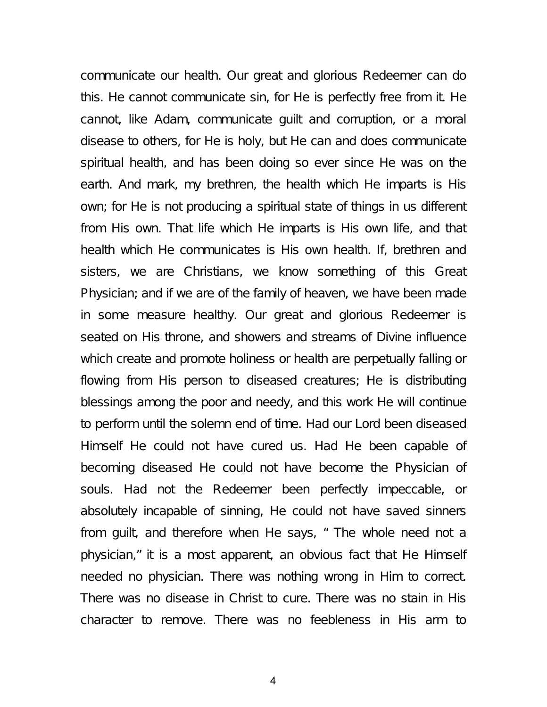communicate our health. Our great and glorious Redeemer can do this. He cannot communicate sin, for He is perfectly free from it. He cannot, like Adam, communicate guilt and corruption, or a moral disease to others, for He is holy, but He can and does communicate spiritual health, and has been doing so ever since He was on the earth. And mark, my brethren, the health which He imparts is His own; for He is not producing a spiritual state of things in us different from His own. That life which He imparts is His own life, and that health which He communicates is His own health. If, brethren and sisters, we are Christians, we know something of this Great Physician; and if we are of the family of heaven, we have been made in some measure healthy. Our great and glorious Redeemer is seated on His throne, and showers and streams of Divine influence which create and promote holiness or health are perpetually falling or flowing from His person to diseased creatures; He is distributing blessings among the poor and needy, and this work He will continue to perform until the solemn end of time. Had our Lord been diseased Himself He could not have cured us. Had He been capable of becoming diseased He could not have become the Physician of souls. Had not the Redeemer been perfectly impeccable, or absolutely incapable of sinning, He could not have saved sinners from guilt, and therefore when He says, " The whole need not a physician," it is a most apparent, an obvious fact that He Himself needed no physician. There was nothing wrong in Him to correct. There was no disease in Christ to cure. There was no stain in His character to remove. There was no feebleness in His arm to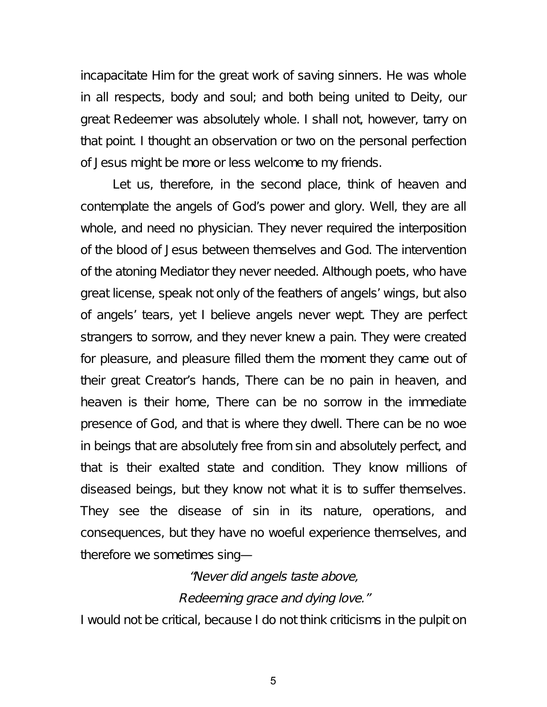incapacitate Him for the great work of saving sinners. He was whole in all respects, body and soul; and both being united to Deity, our great Redeemer was absolutely whole. I shall not, however, tarry on that point. I thought an observation or two on the personal perfection of Jesus might be more or less welcome to my friends.

Let us, therefore, in the second place, think of heaven and contemplate the angels of God's power and glory. Well, they are all whole, and need no physician. They never required the interposition of the blood of Jesus between themselves and God. The intervention of the atoning Mediator they never needed. Although poets, who have great license, speak not only of the feathers of angels' wings, but also of angels' tears, yet I believe angels never wept. They are perfect strangers to sorrow, and they never knew a pain. They were created for pleasure, and pleasure filled them the moment they came out of their great Creator's hands, There can be no pain in heaven, and heaven is their home, There can be no sorrow in the immediate presence of God, and that is where they dwell. There can be no woe in beings that are absolutely free from sin and absolutely perfect, and that is their exalted state and condition. They know millions of diseased beings, but they know not what it is to suffer themselves. They see the disease of sin in its nature, operations, and consequences, but they have no woeful experience themselves, and therefore we sometimes sing—

#### "Never did angels taste above,

#### Redeeming grace and dying love."

I would not be critical, because I do not think criticisms in the pulpit on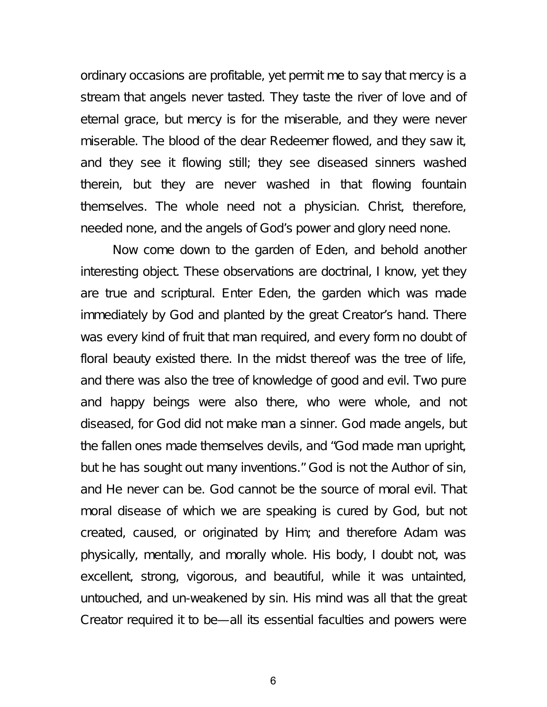ordinary occasions are profitable, yet permit me to say that mercy is a stream that angels never tasted. They taste the river of love and of eternal grace, but mercy is for the miserable, and they were never miserable. The blood of the dear Redeemer flowed, and they saw it, and they see it flowing still; they see diseased sinners washed therein, but they are never washed in that flowing fountain themselves. The whole need not a physician. Christ, therefore, needed none, and the angels of God's power and glory need none.

Now come down to the garden of Eden, and behold another interesting object. These observations are doctrinal, I know, yet they are true and scriptural. Enter Eden, the garden which was made immediately by God and planted by the great Creator's hand. There was every kind of fruit that man required, and every form no doubt of floral beauty existed there. In the midst thereof was the tree of life, and there was also the tree of knowledge of good and evil. Two pure and happy beings were also there, who were whole, and not diseased, for God did not make man a sinner. God made angels, but the fallen ones made themselves devils, and "God made man upright, but he has sought out many inventions." God is not the Author of sin, and He never can be. God cannot be the source of moral evil. That moral disease of which we are speaking is cured by God, but not created, caused, or originated by Him; and therefore Adam was physically, mentally, and morally whole. His body, I doubt not, was excellent, strong, vigorous, and beautiful, while it was untainted, untouched, and un-weakened by sin. His mind was all that the great Creator required it to be—all its essential faculties and powers were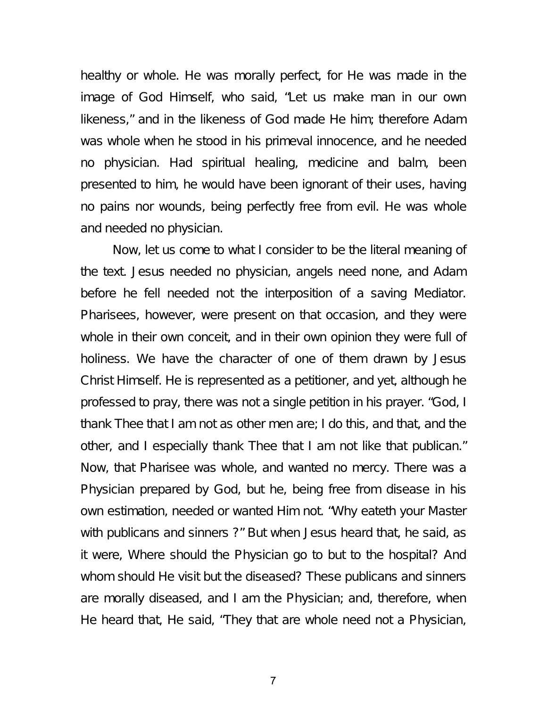healthy or whole. He was morally perfect, for He was made in the image of God Himself, who said, "Let us make man in our own likeness," and in the likeness of God made He him; therefore Adam was whole when he stood in his primeval innocence, and he needed no physician. Had spiritual healing, medicine and balm, been presented to him, he would have been ignorant of their uses, having no pains nor wounds, being perfectly free from evil. He was whole and needed no physician.

Now, let us come to what I consider to be the literal meaning of the text. Jesus needed no physician, angels need none, and Adam before he fell needed not the interposition of a saving Mediator. Pharisees, however, were present on that occasion, and they were whole in their own conceit, and in their own opinion they were full of holiness. We have the character of one of them drawn by Jesus Christ Himself. He is represented as a petitioner, and yet, although he professed to pray, there was not a single petition in his prayer. "God, I thank Thee that I am not as other men are; I do this, and that, and the other, and I especially thank Thee that I am not like that publican." Now, that Pharisee was whole, and wanted no mercy. There was a Physician prepared by God, but he, being free from disease in his own estimation, needed or wanted Him not. "Why eateth your Master with publicans and sinners ?" But when Jesus heard that, he said, as it were, Where should the Physician go to but to the hospital? And whom should He visit but the diseased? These publicans and sinners are morally diseased, and I am the Physician; and, therefore, when He heard that, He said, "They that are whole need not a Physician,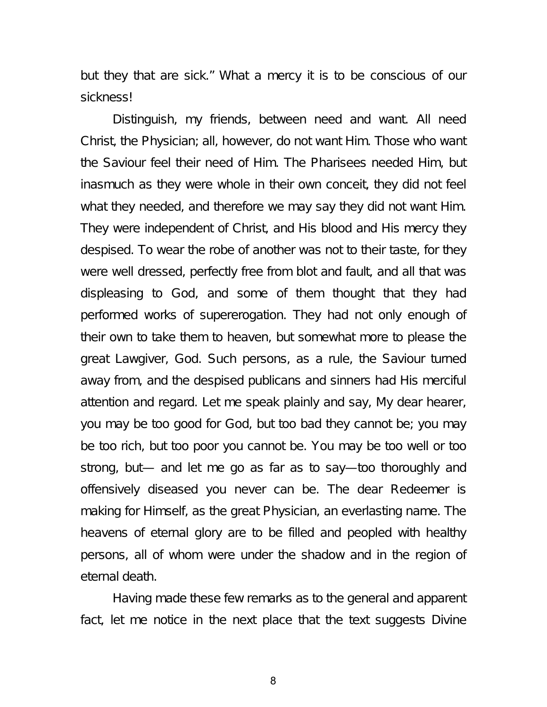but they that are sick." What a mercy it is to be conscious of our sickness!

Distinguish, my friends, between need and want. All need Christ, the Physician; all, however, do not want Him. Those who want the Saviour feel their need of Him. The Pharisees needed Him, but inasmuch as they were whole in their own conceit, they did not feel what they needed, and therefore we may say they did not want Him. They were independent of Christ, and His blood and His mercy they despised. To wear the robe of another was not to their taste, for they were well dressed, perfectly free from blot and fault, and all that was displeasing to God, and some of them thought that they had performed works of supererogation. They had not only enough of their own to take them to heaven, but somewhat more to please the great Lawgiver, God. Such persons, as a rule, the Saviour turned away from, and the despised publicans and sinners had His merciful attention and regard. Let me speak plainly and say, My dear hearer, you may be too good for God, but too bad they cannot be; you may be too rich, but too poor you cannot be. You may be too well or too strong, but— and let me go as far as to say—too thoroughly and offensively diseased you never can be. The dear Redeemer is making for Himself, as the great Physician, an everlasting name. The heavens of eternal glory are to be filled and peopled with healthy persons, all of whom were under the shadow and in the region of eternal death.

Having made these few remarks as to the general and apparent fact, let me notice in the next place that the text suggests Divine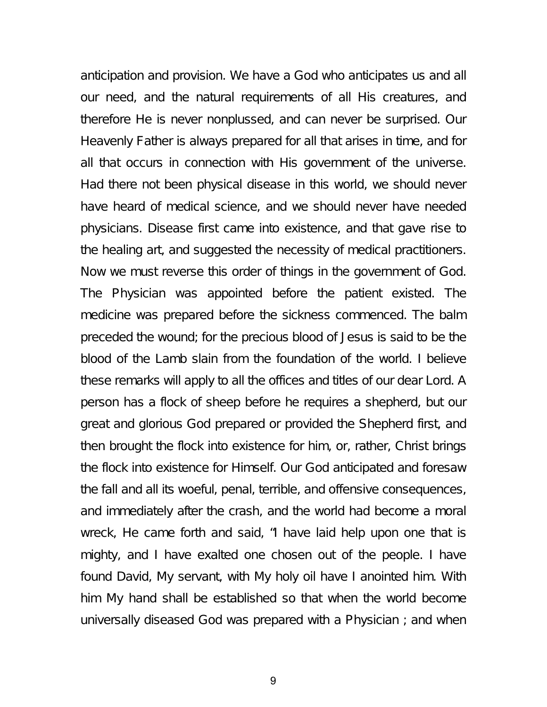anticipation and provision. We have a God who anticipates us and all our need, and the natural requirements of all His creatures, and therefore He is never nonplussed, and can never be surprised. Our Heavenly Father is always prepared for all that arises in time, and for all that occurs in connection with His government of the universe. Had there not been physical disease in this world, we should never have heard of medical science, and we should never have needed physicians. Disease first came into existence, and that gave rise to the healing art, and suggested the necessity of medical practitioners. Now we must reverse this order of things in the government of God. The Physician was appointed before the patient existed. The medicine was prepared before the sickness commenced. The balm preceded the wound; for the precious blood of Jesus is said to be the blood of the Lamb slain from the foundation of the world. I believe these remarks will apply to all the offices and titles of our dear Lord. A person has a flock of sheep before he requires a shepherd, but our great and glorious God prepared or provided the Shepherd first, and then brought the flock into existence for him, or, rather, Christ brings the flock into existence for Himself. Our God anticipated and foresaw the fall and all its woeful, penal, terrible, and offensive consequences, and immediately after the crash, and the world had become a moral wreck, He came forth and said, "I have laid help upon one that is mighty, and I have exalted one chosen out of the people. I have found David, My servant, with My holy oil have I anointed him. With him My hand shall be established so that when the world become universally diseased God was prepared with a Physician ; and when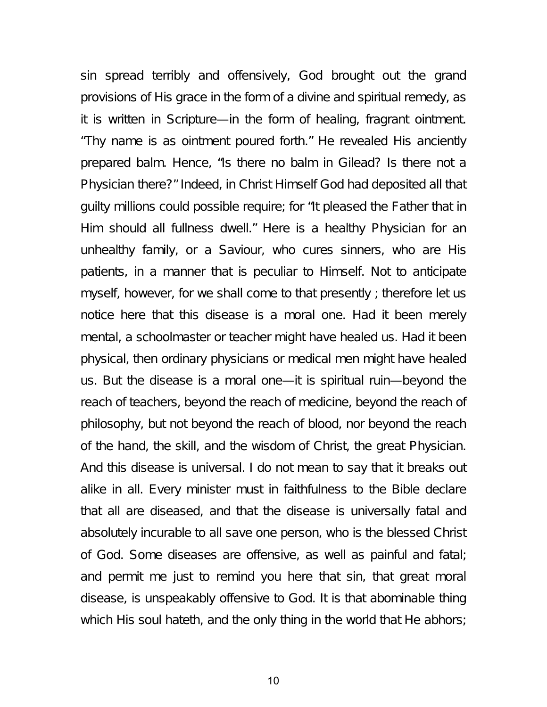sin spread terribly and offensively, God brought out the grand provisions of His grace in the form of a divine and spiritual remedy, as it is written in Scripture—in the form of healing, fragrant ointment. "Thy name is as ointment poured forth." He revealed His anciently prepared balm. Hence, "Is there no balm in Gilead? Is there not a Physician there?" Indeed, in Christ Himself God had deposited all that guilty millions could possible require; for "It pleased the Father that in Him should all fullness dwell." Here is a healthy Physician for an unhealthy family, or a Saviour, who cures sinners, who are His patients, in a manner that is peculiar to Himself. Not to anticipate myself, however, for we shall come to that presently ; therefore let us notice here that this disease is a moral one. Had it been merely mental, a schoolmaster or teacher might have healed us. Had it been physical, then ordinary physicians or medical men might have healed us. But the disease is a moral one—it is spiritual ruin—beyond the reach of teachers, beyond the reach of medicine, beyond the reach of philosophy, but not beyond the reach of blood, nor beyond the reach of the hand, the skill, and the wisdom of Christ, the great Physician. And this disease is universal. I do not mean to say that it breaks out alike in all. Every minister must in faithfulness to the Bible declare that all are diseased, and that the disease is universally fatal and absolutely incurable to all save one person, who is the blessed Christ of God. Some diseases are offensive, as well as painful and fatal; and permit me just to remind you here that sin, that great moral disease, is unspeakably offensive to God. It is that abominable thing which His soul hateth, and the only thing in the world that He abhors;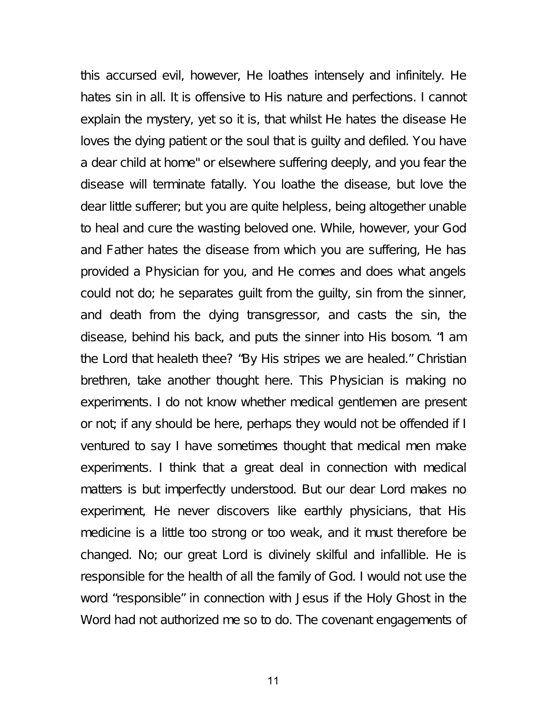this accursed evil, however, He loathes intensely and infinitely. He hates sin in all. It is offensive to His nature and perfections. I cannot explain the mystery, yet so it is, that whilst He hates the disease He loves the dying patient or the soul that is guilty and defiled. You have a dear child at home" or elsewhere suffering deeply, and you fear the disease will terminate fatally. You loathe the disease, but love the dear little sufferer; but you are quite helpless, being altogether unable to heal and cure the wasting beloved one. While, however, your God and Father hates the disease from which you are suffering, He has provided a Physician for you, and He comes and does what angels could not do; he separates guilt from the guilty, sin from the sinner, and death from the dying transgressor, and casts the sin, the disease, behind his back, and puts the sinner into His bosom. "I am the Lord that healeth thee? "By His stripes we are healed." Christian brethren, take another thought here. This Physician is making no experiments. I do not know whether medical gentlemen are present or not; if any should be here, perhaps they would not be offended if I ventured to say I have sometimes thought that medical men make experiments. I think that a great deal in connection with medical matters is but imperfectly understood. But our dear Lord makes no experiment, He never discovers like earthly physicians, that His medicine is a little too strong or too weak, and it must therefore be changed. No; our great Lord is divinely skilful and infallible. He is responsible for the health of all the family of God. I would not use the word "responsible" in connection with Jesus if the Holy Ghost in the Word had not authorized me so to do. The covenant engagements of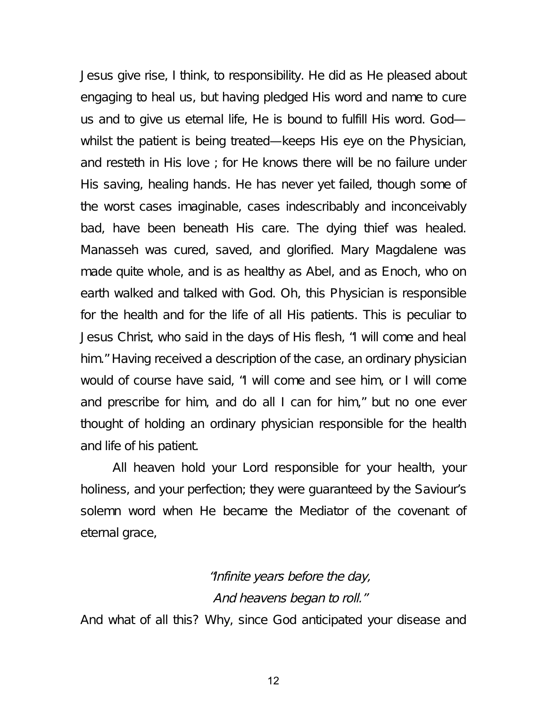Jesus give rise, I think, to responsibility. He did as He pleased about engaging to heal us, but having pledged His word and name to cure us and to give us eternal life, He is bound to fulfill His word. God whilst the patient is being treated—keeps His eye on the Physician, and resteth in His love ; for He knows there will be no failure under His saving, healing hands. He has never yet failed, though some of the worst cases imaginable, cases indescribably and inconceivably bad, have been beneath His care. The dying thief was healed. Manasseh was cured, saved, and glorified. Mary Magdalene was made quite whole, and is as healthy as Abel, and as Enoch, who on earth walked and talked with God. Oh, this Physician is responsible for the health and for the life of all His patients. This is peculiar to Jesus Christ, who said in the days of His flesh, "I will come and heal him." Having received a description of the case, an ordinary physician would of course have said, "I will come and see him, or I will come and prescribe for him, and do all I can for him," but no one ever thought of holding an ordinary physician responsible for the health and life of his patient.

All heaven hold your Lord responsible for your health, your holiness, and your perfection; they were guaranteed by the Saviour's solemn word when He became the Mediator of the covenant of eternal grace,

### "Infinite years before the day, And heavens began to roll."

And what of all this? Why, since God anticipated your disease and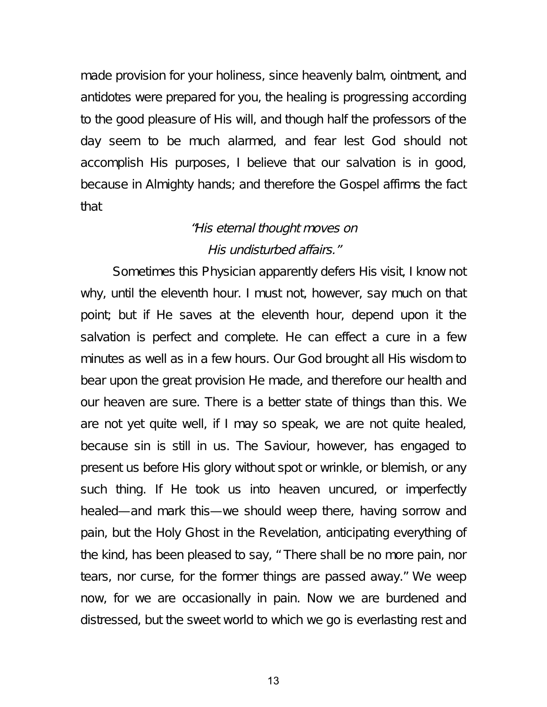made provision for your holiness, since heavenly balm, ointment, and antidotes were prepared for you, the healing is progressing according to the good pleasure of His will, and though half the professors of the day seem to be much alarmed, and fear lest God should not accomplish His purposes, I believe that our salvation is in good, because in Almighty hands; and therefore the Gospel affirms the fact that

### "His eternal thought moves on His undisturbed affairs."

Sometimes this Physician apparently defers His visit, I know not why, until the eleventh hour. I must not, however, say much on that point; but if He saves at the eleventh hour, depend upon it the salvation is perfect and complete. He can effect a cure in a few minutes as well as in a few hours. Our God brought all His wisdom to bear upon the great provision He made, and therefore our health and our heaven are sure. There is a better state of things than this. We are not yet quite well, if I may so speak, we are not quite healed, because sin is still in us. The Saviour, however, has engaged to present us before His glory without spot or wrinkle, or blemish, or any such thing. If He took us into heaven uncured, or imperfectly healed—and mark this—we should weep there, having sorrow and pain, but the Holy Ghost in the Revelation, anticipating everything of the kind, has been pleased to say, " There shall be no more pain, nor tears, nor curse, for the former things are passed away." We weep now, for we are occasionally in pain. Now we are burdened and distressed, but the sweet world to which we go is everlasting rest and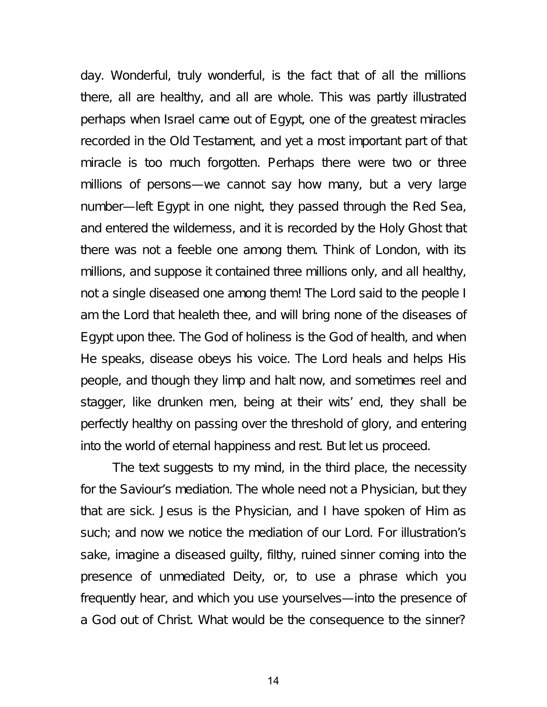day. Wonderful, truly wonderful, is the fact that of all the millions there, all are healthy, and all are whole. This was partly illustrated perhaps when Israel came out of Egypt, one of the greatest miracles recorded in the Old Testament, and yet a most important part of that miracle is too much forgotten. Perhaps there were two or three millions of persons—we cannot say how many, but a very large number—left Egypt in one night, they passed through the Red Sea, and entered the wilderness, and it is recorded by the Holy Ghost that there was not a feeble one among them. Think of London, with its millions, and suppose it contained three millions only, and all healthy, not a single diseased one among them! The Lord said to the people I am the Lord that healeth thee, and will bring none of the diseases of Egypt upon thee. The God of holiness is the God of health, and when He speaks, disease obeys his voice. The Lord heals and helps His people, and though they limp and halt now, and sometimes reel and stagger, like drunken men, being at their wits' end, they shall be perfectly healthy on passing over the threshold of glory, and entering into the world of eternal happiness and rest. But let us proceed.

The text suggests to my mind, in the third place, the necessity for the Saviour's mediation. The whole need not a Physician, but they that are sick. Jesus is the Physician, and I have spoken of Him as such; and now we notice the mediation of our Lord. For illustration's sake, imagine a diseased guilty, filthy, ruined sinner coming into the presence of unmediated Deity, or, to use a phrase which you frequently hear, and which you use yourselves—into the presence of a God out of Christ. What would be the consequence to the sinner?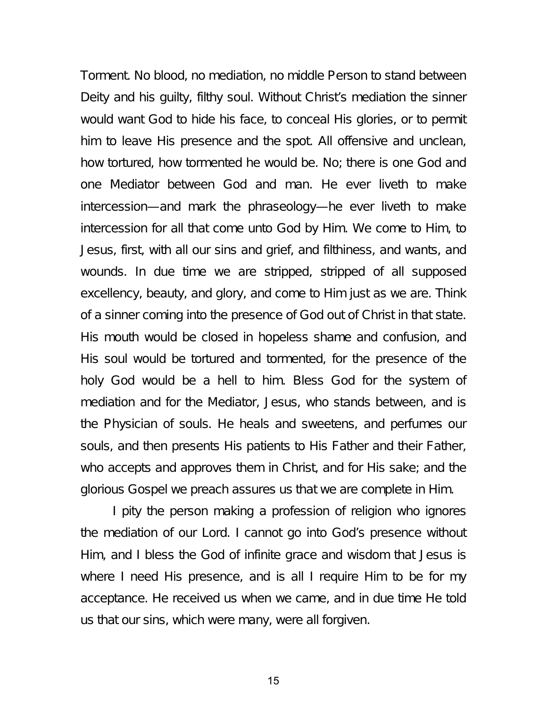Torment. No blood, no mediation, no middle Person to stand between Deity and his guilty, filthy soul. Without Christ's mediation the sinner would want God to hide his face, to conceal His glories, or to permit him to leave His presence and the spot. All offensive and unclean, how tortured, how tormented he would be. No; there is one God and one Mediator between God and man. He ever liveth to make intercession—and mark the phraseology—he ever liveth to make intercession for all that come unto God by Him. We come to Him, to Jesus, first, with all our sins and grief, and filthiness, and wants, and wounds. In due time we are stripped, stripped of all supposed excellency, beauty, and glory, and come to Him just as we are. Think of a sinner coming into the presence of God out of Christ in that state. His mouth would be closed in hopeless shame and confusion, and His soul would be tortured and tormented, for the presence of the holy God would be a hell to him. Bless God for the system of mediation and for the Mediator, Jesus, who stands between, and is the Physician of souls. He heals and sweetens, and perfumes our souls, and then presents His patients to His Father and their Father, who accepts and approves them in Christ, and for His sake; and the glorious Gospel we preach assures us that we are complete in Him.

I pity the person making a profession of religion who ignores the mediation of our Lord. I cannot go into God's presence without Him, and I bless the God of infinite grace and wisdom that Jesus is where I need His presence, and is all I require Him to be for my acceptance. He received us when we came, and in due time He told us that our sins, which were many, were all forgiven.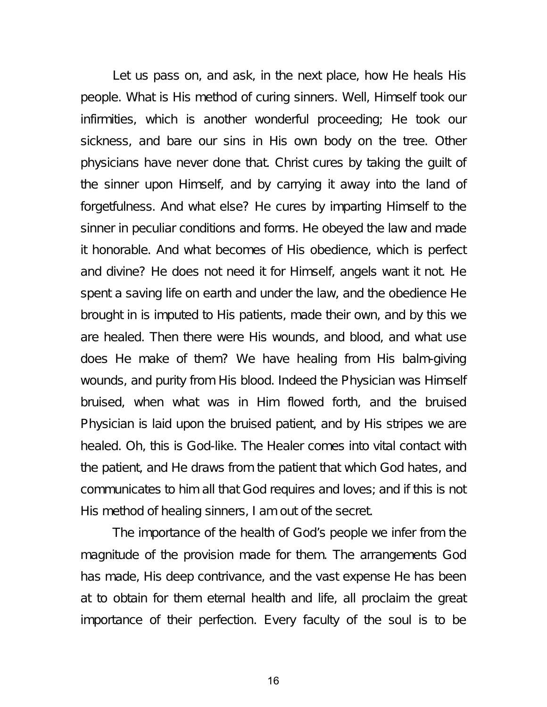Let us pass on, and ask, in the next place, how He heals His people. What is His method of curing sinners. Well, Himself took our infirmities, which is another wonderful proceeding; He took our sickness, and bare our sins in His own body on the tree. Other physicians have never done that. Christ cures by taking the guilt of the sinner upon Himself, and by carrying it away into the land of forgetfulness. And what else? He cures by imparting Himself to the sinner in peculiar conditions and forms. He obeyed the law and made it honorable. And what becomes of His obedience, which is perfect and divine? He does not need it for Himself, angels want it not. He spent a saving life on earth and under the law, and the obedience He brought in is imputed to His patients, made their own, and by this we are healed. Then there were His wounds, and blood, and what use does He make of them? We have healing from His balm-giving wounds, and purity from His blood. Indeed the Physician was Himself bruised, when what was in Him flowed forth, and the bruised Physician is laid upon the bruised patient, and by His stripes we are healed. Oh, this is God-like. The Healer comes into vital contact with the patient, and He draws from the patient that which God hates, and communicates to him all that God requires and loves; and if this is not His method of healing sinners, I am out of the secret.

The importance of the health of God's people we infer from the magnitude of the provision made for them. The arrangements God has made, His deep contrivance, and the vast expense He has been at to obtain for them eternal health and life, all proclaim the great importance of their perfection. Every faculty of the soul is to be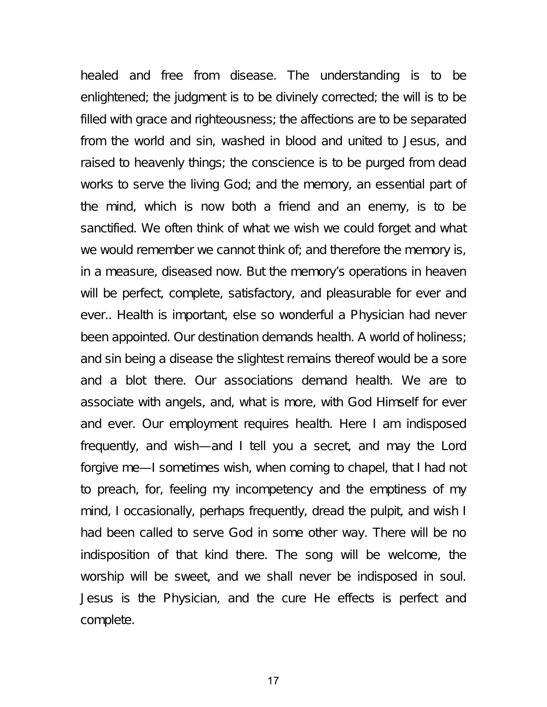healed and free from disease. The understanding is to be enlightened; the judgment is to be divinely corrected; the will is to be filled with grace and righteousness; the affections are to be separated from the world and sin, washed in blood and united to Jesus, and raised to heavenly things; the conscience is to be purged from dead works to serve the living God; and the memory, an essential part of the mind, which is now both a friend and an enemy, is to be sanctified. We often think of what we wish we could forget and what we would remember we cannot think of; and therefore the memory is, in a measure, diseased now. But the memory's operations in heaven will be perfect, complete, satisfactory, and pleasurable for ever and ever.. Health is important, else so wonderful a Physician had never been appointed. Our destination demands health. A world of holiness; and sin being a disease the slightest remains thereof would be a sore and a blot there. Our associations demand health. We are to associate with angels, and, what is more, with God Himself for ever and ever. Our employment requires health. Here I am indisposed frequently, and wish—and I tell you a secret, and may the Lord forgive me—I sometimes wish, when coming to chapel, that I had not to preach, for, feeling my incompetency and the emptiness of my mind, I occasionally, perhaps frequently, dread the pulpit, and wish I had been called to serve God in some other way. There will be no indisposition of that kind there. The song will be welcome, the worship will be sweet, and we shall never be indisposed in soul. Jesus is the Physician, and the cure He effects is perfect and complete.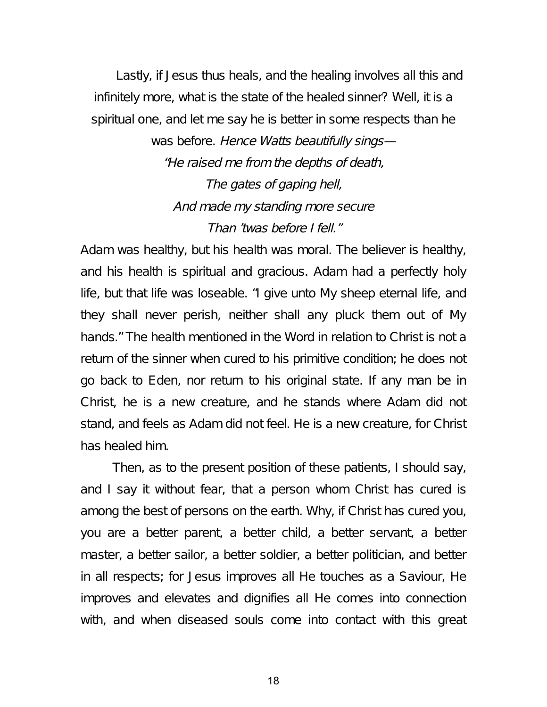Lastly, if Jesus thus heals, and the healing involves all this and infinitely more, what is the state of the healed sinner? Well, it is a spiritual one, and let me say he is better in some respects than he

> was before. Hence Watts beautifully sings-"He raised me from the depths of death, The gates of gaping hell, And made my standing more secure Than 'twas before I fell."

Adam was healthy, but his health was moral. The believer is healthy, and his health is spiritual and gracious. Adam had a perfectly holy life, but that life was loseable. "I give unto My sheep eternal life, and they shall never perish, neither shall any pluck them out of My hands." The health mentioned in the Word in relation to Christ is not a return of the sinner when cured to his primitive condition; he does not go back to Eden, nor return to his original state. If any man be in Christ, he is a new creature, and he stands where Adam did not stand, and feels as Adam did not feel. He is a new creature, for Christ has healed him.

Then, as to the present position of these patients, I should say, and I say it without fear, that a person whom Christ has cured is among the best of persons on the earth. Why, if Christ has cured you, you are a better parent, a better child, a better servant, a better master, a better sailor, a better soldier, a better politician, and better in all respects; for Jesus improves all He touches as a Saviour, He improves and elevates and dignifies all He comes into connection with, and when diseased souls come into contact with this great